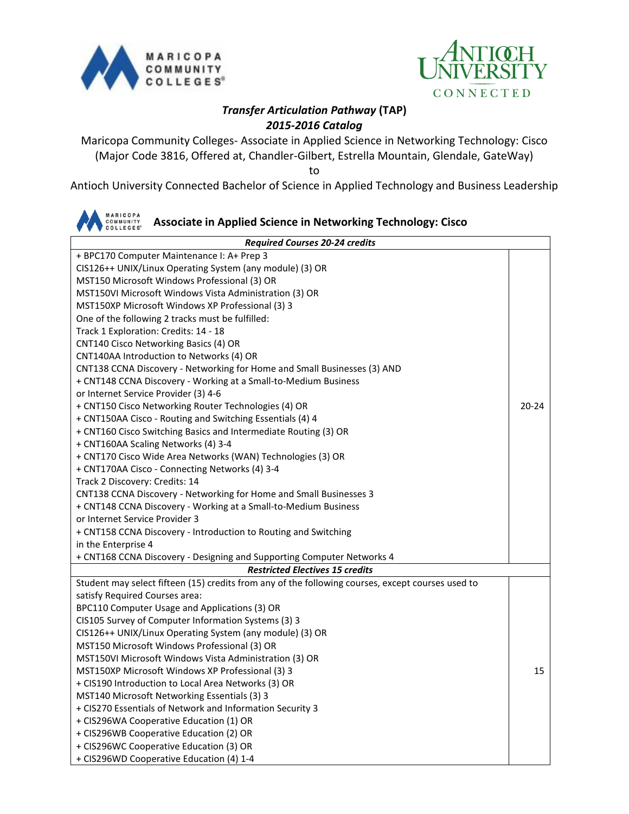



## *Transfer Articulation Pathway* **(TAP)** *2015-2016 Catalog*

Maricopa Community Colleges- Associate in Applied Science in Networking Technology: Cisco (Major Code 3816, Offered at, Chandler-Gilbert, Estrella Mountain, Glendale, GateWay)

to

Antioch University Connected Bachelor of Science in Applied Technology and Business Leadership

|  |  | <b>AN BISOPA</b> COMMUNITY Associate in Applied Science in Networking Technology: Cisco |
|--|--|-----------------------------------------------------------------------------------------|
|--|--|-----------------------------------------------------------------------------------------|

| <b>Required Courses 20-24 credits</b>                                                             |           |  |  |
|---------------------------------------------------------------------------------------------------|-----------|--|--|
| + BPC170 Computer Maintenance I: A+ Prep 3                                                        |           |  |  |
| CIS126++ UNIX/Linux Operating System (any module) (3) OR                                          |           |  |  |
| MST150 Microsoft Windows Professional (3) OR                                                      |           |  |  |
| MST150VI Microsoft Windows Vista Administration (3) OR                                            |           |  |  |
| MST150XP Microsoft Windows XP Professional (3) 3                                                  |           |  |  |
| One of the following 2 tracks must be fulfilled:                                                  |           |  |  |
| Track 1 Exploration: Credits: 14 - 18                                                             |           |  |  |
| CNT140 Cisco Networking Basics (4) OR                                                             |           |  |  |
| CNT140AA Introduction to Networks (4) OR                                                          |           |  |  |
| CNT138 CCNA Discovery - Networking for Home and Small Businesses (3) AND                          |           |  |  |
| + CNT148 CCNA Discovery - Working at a Small-to-Medium Business                                   |           |  |  |
| or Internet Service Provider (3) 4-6                                                              |           |  |  |
| + CNT150 Cisco Networking Router Technologies (4) OR                                              | $20 - 24$ |  |  |
| + CNT150AA Cisco - Routing and Switching Essentials (4) 4                                         |           |  |  |
| + CNT160 Cisco Switching Basics and Intermediate Routing (3) OR                                   |           |  |  |
| + CNT160AA Scaling Networks (4) 3-4                                                               |           |  |  |
| + CNT170 Cisco Wide Area Networks (WAN) Technologies (3) OR                                       |           |  |  |
| + CNT170AA Cisco - Connecting Networks (4) 3-4                                                    |           |  |  |
| Track 2 Discovery: Credits: 14                                                                    |           |  |  |
| CNT138 CCNA Discovery - Networking for Home and Small Businesses 3                                |           |  |  |
| + CNT148 CCNA Discovery - Working at a Small-to-Medium Business                                   |           |  |  |
| or Internet Service Provider 3                                                                    |           |  |  |
| + CNT158 CCNA Discovery - Introduction to Routing and Switching                                   |           |  |  |
| in the Enterprise 4                                                                               |           |  |  |
| + CNT168 CCNA Discovery - Designing and Supporting Computer Networks 4                            |           |  |  |
| <b>Restricted Electives 15 credits</b>                                                            |           |  |  |
| Student may select fifteen (15) credits from any of the following courses, except courses used to |           |  |  |
| satisfy Required Courses area:                                                                    |           |  |  |
| BPC110 Computer Usage and Applications (3) OR                                                     |           |  |  |
| CIS105 Survey of Computer Information Systems (3) 3                                               |           |  |  |
| CIS126++ UNIX/Linux Operating System (any module) (3) OR                                          |           |  |  |
| MST150 Microsoft Windows Professional (3) OR                                                      |           |  |  |
| MST150VI Microsoft Windows Vista Administration (3) OR                                            |           |  |  |
| MST150XP Microsoft Windows XP Professional (3) 3                                                  | 15        |  |  |
| + CIS190 Introduction to Local Area Networks (3) OR                                               |           |  |  |
| MST140 Microsoft Networking Essentials (3) 3                                                      |           |  |  |
| + CIS270 Essentials of Network and Information Security 3                                         |           |  |  |
| + CIS296WA Cooperative Education (1) OR                                                           |           |  |  |
| + CIS296WB Cooperative Education (2) OR                                                           |           |  |  |
| + CIS296WC Cooperative Education (3) OR                                                           |           |  |  |
| + CIS296WD Cooperative Education (4) 1-4                                                          |           |  |  |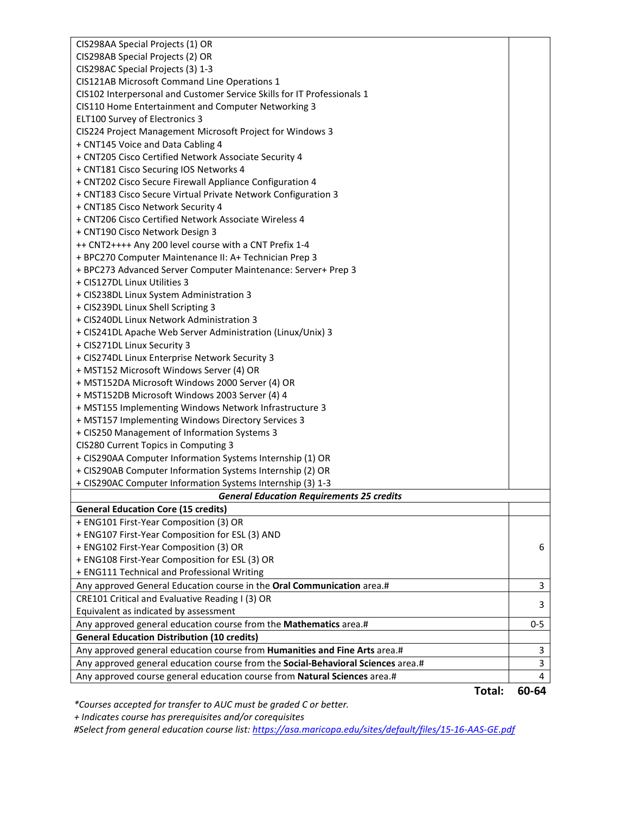| CIS298AA Special Projects (1) OR                                                         |             |  |  |
|------------------------------------------------------------------------------------------|-------------|--|--|
| CIS298AB Special Projects (2) OR                                                         |             |  |  |
| CIS298AC Special Projects (3) 1-3                                                        |             |  |  |
| CIS121AB Microsoft Command Line Operations 1                                             |             |  |  |
| CIS102 Interpersonal and Customer Service Skills for IT Professionals 1                  |             |  |  |
| CIS110 Home Entertainment and Computer Networking 3                                      |             |  |  |
| <b>ELT100 Survey of Electronics 3</b>                                                    |             |  |  |
| CIS224 Project Management Microsoft Project for Windows 3                                |             |  |  |
| + CNT145 Voice and Data Cabling 4                                                        |             |  |  |
| + CNT205 Cisco Certified Network Associate Security 4                                    |             |  |  |
| + CNT181 Cisco Securing IOS Networks 4                                                   |             |  |  |
| + CNT202 Cisco Secure Firewall Appliance Configuration 4                                 |             |  |  |
| + CNT183 Cisco Secure Virtual Private Network Configuration 3                            |             |  |  |
| + CNT185 Cisco Network Security 4                                                        |             |  |  |
| + CNT206 Cisco Certified Network Associate Wireless 4                                    |             |  |  |
| + CNT190 Cisco Network Design 3                                                          |             |  |  |
| ++ CNT2++++ Any 200 level course with a CNT Prefix 1-4                                   |             |  |  |
| + BPC270 Computer Maintenance II: A+ Technician Prep 3                                   |             |  |  |
| + BPC273 Advanced Server Computer Maintenance: Server+ Prep 3                            |             |  |  |
| + CIS127DL Linux Utilities 3                                                             |             |  |  |
| + CIS238DL Linux System Administration 3                                                 |             |  |  |
| + CIS239DL Linux Shell Scripting 3                                                       |             |  |  |
| + CIS240DL Linux Network Administration 3                                                |             |  |  |
| + CIS241DL Apache Web Server Administration (Linux/Unix) 3                               |             |  |  |
| + CIS271DL Linux Security 3                                                              |             |  |  |
| + CIS274DL Linux Enterprise Network Security 3                                           |             |  |  |
| + MST152 Microsoft Windows Server (4) OR                                                 |             |  |  |
| + MST152DA Microsoft Windows 2000 Server (4) OR                                          |             |  |  |
| + MST152DB Microsoft Windows 2003 Server (4) 4                                           |             |  |  |
| + MST155 Implementing Windows Network Infrastructure 3                                   |             |  |  |
| + MST157 Implementing Windows Directory Services 3                                       |             |  |  |
| + CIS250 Management of Information Systems 3                                             |             |  |  |
| CIS280 Current Topics in Computing 3                                                     |             |  |  |
| + CIS290AA Computer Information Systems Internship (1) OR                                |             |  |  |
| + CIS290AB Computer Information Systems Internship (2) OR                                |             |  |  |
| + CIS290AC Computer Information Systems Internship (3) 1-3                               |             |  |  |
| <b>General Education Requirements 25 credits</b>                                         |             |  |  |
| <b>General Education Core (15 credits)</b>                                               |             |  |  |
| + ENG101 First-Year Composition (3) OR                                                   |             |  |  |
| + ENG107 First-Year Composition for ESL (3) AND                                          |             |  |  |
| + ENG102 First-Year Composition (3) OR                                                   | 6           |  |  |
| + ENG108 First-Year Composition for ESL (3) OR                                           |             |  |  |
| + ENG111 Technical and Professional Writing                                              |             |  |  |
| Any approved General Education course in the Oral Communication area.#                   | 3           |  |  |
| CRE101 Critical and Evaluative Reading I (3) OR<br>Equivalent as indicated by assessment | 3           |  |  |
| Any approved general education course from the Mathematics area.#                        | $0 - 5$     |  |  |
| <b>General Education Distribution (10 credits)</b>                                       |             |  |  |
| Any approved general education course from Humanities and Fine Arts area.#               | $\mathsf 3$ |  |  |
| Any approved general education course from the Social-Behavioral Sciences area.#         | 3           |  |  |
| Any approved course general education course from Natural Sciences area.#                | 4           |  |  |
|                                                                                          |             |  |  |

**Total: 60-64**

*\*Courses accepted for transfer to AUC must be graded C or better.*

 *+ Indicates course has prerequisites and/or corequisites*

*#Select from general education course list:<https://asa.maricopa.edu/sites/default/files/15-16-AAS-GE.pdf>*